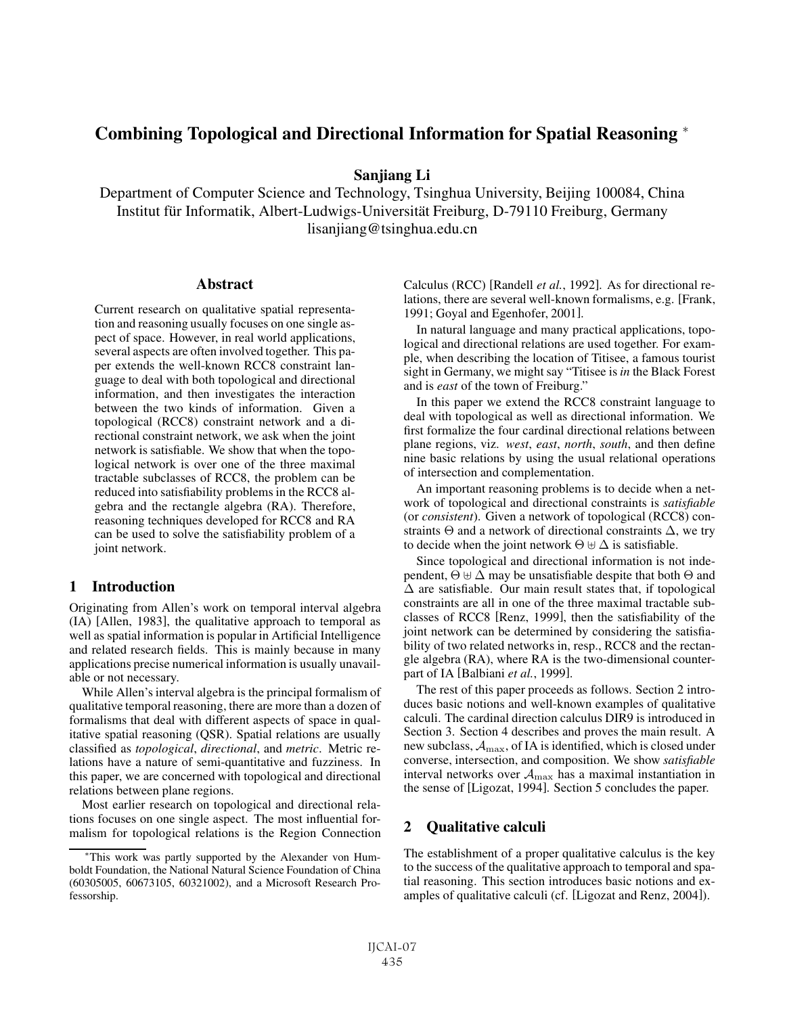# Combining Topological and Directional Information for Spatial Reasoning <sup>∗</sup>

Sanjiang Li

Department of Computer Science and Technology, Tsinghua University, Beijing 100084, China Institut für Informatik, Albert-Ludwigs-Universität Freiburg, D-79110 Freiburg, Germany lisanjiang@tsinghua.edu.cn

#### **Abstract**

Current research on qualitative spatial representation and reasoning usually focuses on one single aspect of space. However, in real world applications, several aspects are often involved together. This paper extends the well-known RCC8 constraint language to deal with both topological and directional information, and then investigates the interaction between the two kinds of information. Given a topological (RCC8) constraint network and a directional constraint network, we ask when the joint network is satisfiable. We show that when the topological network is over one of the three maximal tractable subclasses of RCC8, the problem can be reduced into satisfiability problems in the RCC8 algebra and the rectangle algebra (RA). Therefore, reasoning techniques developed for RCC8 and RA can be used to solve the satisfiability problem of a joint network.

# 1 Introduction

Originating from Allen's work on temporal interval algebra (IA) [Allen, 1983], the qualitative approach to temporal as well as spatial information is popular in Artificial Intelligence and related research fields. This is mainly because in many applications precise numerical information is usually unavailable or not necessary.

While Allen's interval algebra is the principal formalism of qualitative temporal reasoning, there are more than a dozen of formalisms that deal with different aspects of space in qualitative spatial reasoning (QSR). Spatial relations are usually classified as *topological*, *directional*, and *metric*. Metric relations have a nature of semi-quantitative and fuzziness. In this paper, we are concerned with topological and directional relations between plane regions.

Most earlier research on topological and directional relations focuses on one single aspect. The most influential formalism for topological relations is the Region Connection Calculus (RCC) [Randell *et al.*, 1992]. As for directional relations, there are several well-known formalisms, e.g. [Frank, 1991; Goyal and Egenhofer, 2001].

In natural language and many practical applications, topological and directional relations are used together. For example, when describing the location of Titisee, a famous tourist sight in Germany, we might say "Titisee is*in* the Black Forest and is *east* of the town of Freiburg."

In this paper we extend the RCC8 constraint language to deal with topological as well as directional information. We first formalize the four cardinal directional relations between plane regions, viz. *west*, *east*, *north*, *south*, and then define nine basic relations by using the usual relational operations of intersection and complementation.

An important reasoning problems is to decide when a network of topological and directional constraints is *satisfiable* (or *consistent*). Given a network of topological (RCC8) constraints  $\Theta$  and a network of directional constraints  $\Delta$ , we try to decide when the joint network  $\Theta \oplus \Delta$  is satisfiable.

Since topological and directional information is not independent,  $\Theta \oplus \Delta$  may be unsatisfiable despite that both  $\Theta$  and  $\Delta$  are satisfiable. Our main result states that, if topological constraints are all in one of the three maximal tractable subclasses of RCC8 [Renz, 1999], then the satisfiability of the joint network can be determined by considering the satisfiability of two related networks in, resp., RCC8 and the rectangle algebra (RA), where RA is the two-dimensional counterpart of IA [Balbiani *et al.*, 1999].

The rest of this paper proceeds as follows. Section 2 introduces basic notions and well-known examples of qualitative calculi. The cardinal direction calculus DIR9 is introduced in Section 3. Section 4 describes and proves the main result. A new subclass,  $A_{\text{max}}$ , of IA is identified, which is closed under converse, intersection, and composition. We show *satisfiable* interval networks over  $A_{\text{max}}$  has a maximal instantiation in the sense of [Ligozat, 1994]. Section 5 concludes the paper.

# 2 Qualitative calculi

The establishment of a proper qualitative calculus is the key to the success of the qualitative approach to temporal and spatial reasoning. This section introduces basic notions and examples of qualitative calculi (cf. [Ligozat and Renz, 2004]).

<sup>∗</sup>This work was partly supported by the Alexander von Humboldt Foundation, the National Natural Science Foundation of China (60305005, 60673105, 60321002), and a Microsoft Research Professorship.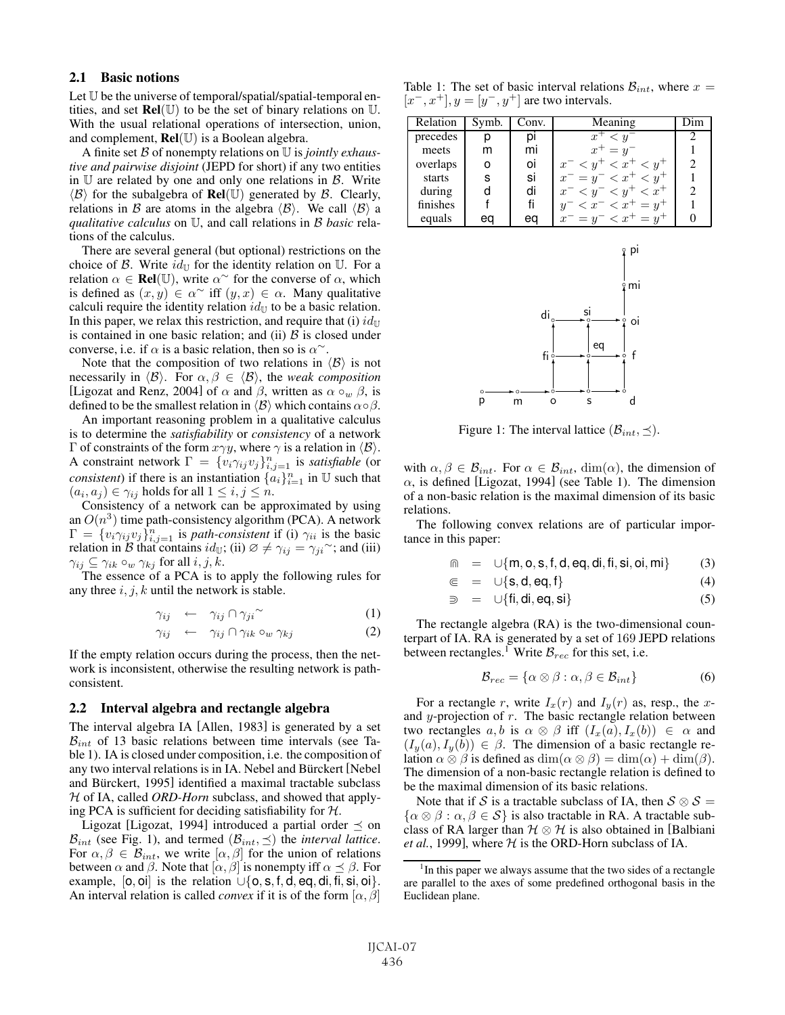#### 2.1 Basic notions

Let U be the universe of temporal/spatial/spatial-temporal entities, and set  $\text{Rel}(\mathbb{U})$  to be the set of binary relations on  $\mathbb{U}$ . With the usual relational operations of intersection, union, and complement,  $\text{Rel}(\mathbb{U})$  is a Boolean algebra.

A finite set B of nonempty relations on U is *jointly exhaustive and pairwise disjoint* (JEPD for short) if any two entities in  $U$  are related by one and only one relations in  $B$ . Write  $\langle \mathcal{B} \rangle$  for the subalgebra of **Rel**(U) generated by  $\mathcal{B}$ . Clearly, relations in B are atoms in the algebra  $\langle B \rangle$ . We call  $\langle B \rangle$  a *qualitative calculus* on U, and call relations in B *basic* relations of the calculus.

There are several general (but optional) restrictions on the choice of B. Write  $id_{\mathbb{U}}$  for the identity relation on  $\mathbb{U}$ . For a relation  $\alpha \in \text{Rel}(\mathbb{U})$ , write  $\alpha^{\sim}$  for the converse of  $\alpha$ , which is defined as  $(x, y) \in \alpha^{\sim}$  iff  $(y, x) \in \alpha$ . Many qualitative calculi require the identity relation  $id_{\mathbb{U}}$  to be a basic relation. In this paper, we relax this restriction, and require that (i)  $id_{\mathbb{U}}$ is contained in one basic relation; and (ii)  $\beta$  is closed under converse, i.e. if  $\alpha$  is a basic relation, then so is  $\alpha^{\sim}$ .

Note that the composition of two relations in  $\langle B \rangle$  is not necessarily in  $\langle \mathcal{B} \rangle$ . For  $\alpha, \beta \in \langle \mathcal{B} \rangle$ , the *weak composition* [Ligozat and Renz, 2004] of  $\alpha$  and  $\beta$ , written as  $\alpha \circ_w \beta$ , is defined to be the smallest relation in  $\langle B \rangle$  which contains  $\alpha \circ \beta$ .

An important reasoning problem in a qualitative calculus is to determine the *satisfiability* or *consistency* of a network Γ of constraints of the form  $x\gamma y$ , where  $\gamma$  is a relation in  $\langle B \rangle$ . A constraint network  $\Gamma = \{v_i \gamma_{ij} v_j\}_{i,j=1}^n$  is *satisfiable* (or *consistent*) if there is an instantiation  $\{a_i\}_{i=1}^n$  in  $\mathbb U$  such that  $(a_i, a_j) \in \gamma_{ij}$  holds for all  $1 \leq i, j \leq n$ .

Consistency of a network can be approximated by using an  $O(n^3)$  time path-consistency algorithm (PCA). A network  $\Gamma = \{v_i \gamma_{ij} v_j\}_{i,j=1}^n$  is *path-consistent* if (i)  $\gamma_{ii}$  is the basic relation in B that contains  $id_{\mathbb{U}}$ ; (ii)  $\varnothing \neq \gamma_{ij} = \gamma_{ji}$ <sup>~</sup>; and (iii)  $\gamma_{ij} \subseteq \gamma_{ik} \circ_w \gamma_{kj}$  for all  $i, j, k$ .

The essence of a PCA is to apply the following rules for any three  $i, j, k$  until the network is stable.

$$
\gamma_{ij} \leftarrow \gamma_{ij} \cap \gamma_{ji} \qquad (1)
$$

$$
\gamma_{ij} \leftarrow \gamma_{ij} \cap \gamma_{ik} \circ_w \gamma_{kj} \qquad (2)
$$

If the empty relation occurs during the process, then the network is inconsistent, otherwise the resulting network is pathconsistent.

#### 2.2 Interval algebra and rectangle algebra

The interval algebra IA [Allen, 1983] is generated by a set  $B_{int}$  of 13 basic relations between time intervals (see Table 1). IA is closed under composition, i.e. the composition of any two interval relations is in IA. Nebel and Bürckert [Nebel] and Bürckert, 1995] identified a maximal tractable subclass H of IA, called *ORD-Horn* subclass, and showed that applying PCA is sufficient for deciding satisfiability for  $H$ .

Ligozat [Ligozat, 1994] introduced a partial order  $\preceq$  on  $\mathcal{B}_{int}$  (see Fig. 1), and termed  $(\mathcal{B}_{int}, \preceq)$  the *interval lattice*. For  $\alpha, \beta \in \mathcal{B}_{int}$ , we write  $[\alpha, \beta]$  for the union of relations between  $\alpha$  and  $\beta$ . Note that  $[\alpha, \beta]$  is nonempty iff  $\alpha \preceq \beta$ . For example,  $[0, 0]$  is the relation  $\bigcup \{0, s, f, d, eq, di, fi, si, oli\}.$ An interval relation is called *convex* if it is of the form  $[\alpha, \beta]$ 

Table 1: The set of basic interval relations  $B_{int}$ , where  $x =$  $[x^-, x^+]$ ,  $y = [y^-, y^+]$  are two intervals.

| Relation | Symb. | Conv. | Meaning                         |   |
|----------|-------|-------|---------------------------------|---|
| precedes | D     | Ŋ١    | $x^+ < y^-$                     |   |
| meets    | m     | mi    | $x^+ = y^-$                     |   |
| overlaps | ο     | ΟI    | $x^{-} < y^{+} < x^{+} < y^{+}$ | 2 |
| starts   | s     | Sİ    | $x^{-} = y^{-} < x^{+} < y^{+}$ |   |
| during   | d     | di    | $x^{-} < y^{-} < y^{+} < x^{+}$ | っ |
| finishes |       | fi    | $y^{-} < x^{-} < x^{+} = y^{+}$ |   |
| equals   | eс    | ec    | $x^- = y^- < x^+ = y^+$         |   |



Figure 1: The interval lattice  $(\mathcal{B}_{int}, \preceq)$ .

with  $\alpha, \beta \in \mathcal{B}_{int}$ . For  $\alpha \in \mathcal{B}_{int}$ , dim $(\alpha)$ , the dimension of  $\alpha$ , is defined [Ligozat, 1994] (see Table 1). The dimension of a non-basic relation is the maximal dimension of its basic relations.

The following convex relations are of particular importance in this paper:

$$
\mathbb{m} = \cup \{m, o, s, f, d, eq, di, fi, si,oi, mi\} \tag{3}
$$

$$
\in = \cup \{s, d, eq, f\} \tag{4}
$$

$$
\mathfrak{D} = \cup \{ \mathsf{fi}, \mathsf{di}, \mathsf{eq}, \mathsf{si} \} \tag{5}
$$

The rectangle algebra (RA) is the two-dimensional counterpart of IA. RA is generated by a set of 169 JEPD relations between rectangles.<sup>1</sup> Write  $\mathcal{B}_{rec}$  for this set, i.e.

$$
\mathcal{B}_{rec} = \{ \alpha \otimes \beta : \alpha, \beta \in \mathcal{B}_{int} \}
$$
 (6)

For a rectangle r, write  $I_x(r)$  and  $I_y(r)$  as, resp., the xand  $y$ -projection of  $r$ . The basic rectangle relation between two rectangles  $a, b$  is  $\alpha \otimes \beta$  iff  $(I_x(a), I_x(b)) \in \alpha$  and  $(I_u(a), I_u(b)) \in \beta$ . The dimension of a basic rectangle relation  $\alpha \otimes \beta$  is defined as  $\dim(\alpha \otimes \beta) = \dim(\alpha) + \dim(\beta)$ . The dimension of a non-basic rectangle relation is defined to be the maximal dimension of its basic relations.

Note that if S is a tractable subclass of IA, then  $S \otimes S =$  $\{\alpha \otimes \beta : \alpha, \beta \in \mathcal{S}\}\$ is also tractable in RA. A tractable subclass of RA larger than  $H \otimes H$  is also obtained in [Balbiani *et al.*, 1999], where  $H$  is the ORD-Horn subclass of IA.

<sup>&</sup>lt;sup>1</sup>In this paper we always assume that the two sides of a rectangle are parallel to the axes of some predefined orthogonal basis in the Euclidean plane.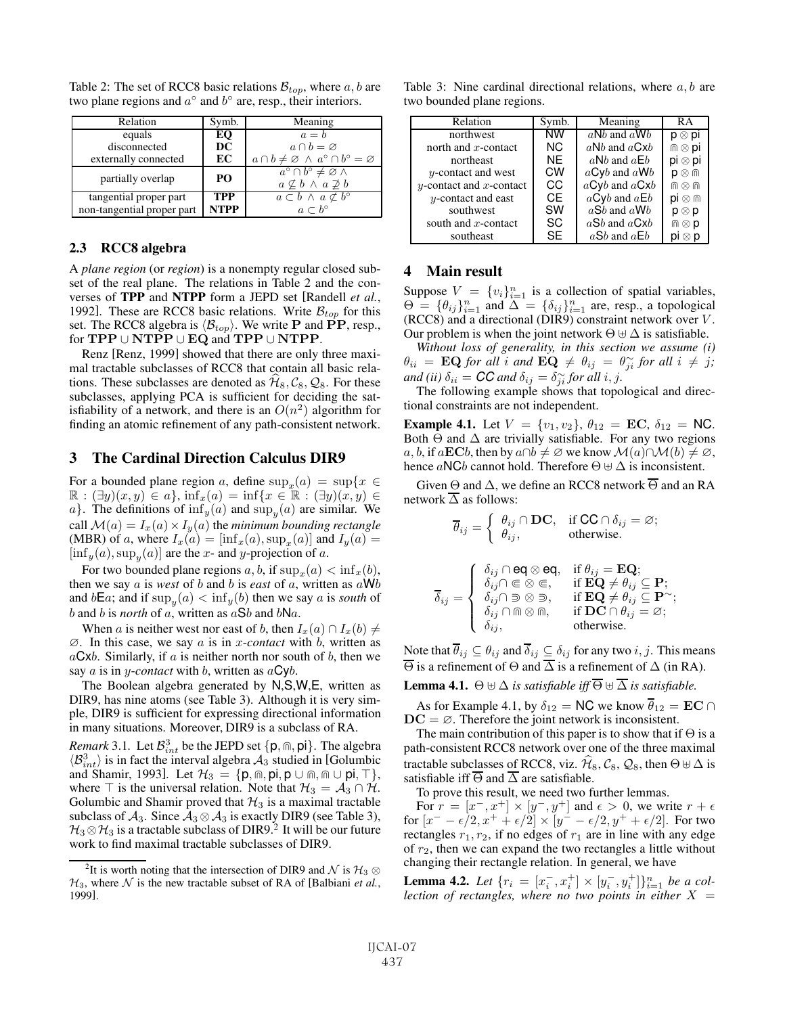| Relation                   | Symb.                                                                           | Meaning                                                                                         |
|----------------------------|---------------------------------------------------------------------------------|-------------------------------------------------------------------------------------------------|
| equals                     | EO.                                                                             | $a = b$                                                                                         |
| disconnected               | DC                                                                              | $a \cap b = \varnothing$                                                                        |
| externally connected       | $a \cap b \neq \emptyset \ \wedge \ a^{\circ} \cap b^{\circ} = \emptyset$<br>EC |                                                                                                 |
| partially overlap          | PО                                                                              | $a^{\circ} \cap b^{\circ} \neq \varnothing \wedge$<br>$a \not\subseteq b \land a \not\supset b$ |
| tangential proper part     | TPP                                                                             | $a\subset b\land a\not\subset b^{\circ}$                                                        |
| non-tangential proper part | <b>NTPP</b>                                                                     | $a \subset b^{\circ}$                                                                           |

Table 2: The set of RCC8 basic relations  $B_{top}$ , where  $a, b$  are two plane regions and  $a^\circ$  and  $b^\circ$  are, resp., their interiors.

## 2.3 RCC8 algebra

A *plane region* (or *region*) is a nonempty regular closed subset of the real plane. The relations in Table 2 and the converses of TPP and NTPP form a JEPD set [Randell *et al.*, 1992]. These are RCC8 basic relations. Write  $B_{top}$  for this set. The RCC8 algebra is  $\langle B_{top} \rangle$ . We write **P** and **PP**, resp., for **TPP** ∪ **NTPP** ∪ **EQ** and **TPP** ∪ **NTPP**.

Renz [Renz, 1999] showed that there are only three maximal tractable subclasses of RCC8 that contain all basic relations. These subclasses are denoted as  $\hat{\mathcal{H}}_8$ ,  $\mathcal{C}_8$ ,  $\mathcal{Q}_8$ . For these subclasses, applying PCA is sufficient for deciding the satisfiability of a network, and there is an  $O(n^2)$  algorithm for finding an atomic refinement of any path-consistent network.

## 3 The Cardinal Direction Calculus DIR9

For a bounded plane region a, define  $\sup_{x}(a) = \sup\{x \in$  $\mathbb{R}: (\exists y)(x, y) \in a\}, \inf_x(a) = \inf\{x \in \mathbb{R}: (\exists y)(x, y) \in$ a}. The definitions of  $\inf_{u}(a)$  and  $\sup_{u}(a)$  are similar. We call  $\mathcal{M}(a) = I_x(a) \times I_y(a)$  the *minimum bounding rectangle* (MBR) of a, where  $I_x(a) = [\inf_x(a), \sup_x(a)]$  and  $I_y(a) =$  $[\inf_{y}(a), \sup_{y}(a)]$  are the x- and y-projection of a.

For two bounded plane regions a, b, if  $\sup_{x}(a) < \inf_{x}(b)$ , then we say  $a$  is *west* of  $b$  and  $b$  is *east* of  $a$ , written as  $aWb$ and  $b\mathsf{E}a$ ; and if  $\sup_y(a) < \inf_y(b)$  then we say a is *south* of b and b is *north* of a, written as  $aSb$  and  $bNa$ .

When a is neither west nor east of b, then  $I_x(a) \cap I_x(b) \neq$ ∅. In this case, we say a is in x-*contact* with b, written as  $aCxb$ . Similarly, if a is neither north nor south of b, then we say  $a$  is in *y-contact* with  $b$ , written as  $aCyb$ .

The Boolean algebra generated by N,S,W,E, written as DIR9, has nine atoms (see Table 3). Although it is very simple, DIR9 is sufficient for expressing directional information in many situations. Moreover, DIR9 is a subclass of RA.

*Remark* 3.1. Let  $\mathcal{B}^3_{int}$  be the JEPD set  $\{p, \text{in}, p\}$ . The algebra  $\langle B_{int}^3 \rangle$  is in fact the interval algebra  $A_3$  studied in [Golumbic and Shamir, 1993]. Let  $\mathcal{H}_3 = \{p, \widehat{m}, p\mathbf{i}, p \cup \widehat{m}, \widehat{m} \cup p\mathbf{i}, \top\},\$ where  $\top$  is the universal relation. Note that  $\mathcal{H}_3 = \mathcal{A}_3 \cap \mathcal{H}$ . Golumbic and Shamir proved that  $H_3$  is a maximal tractable subclass of  $A_3$ . Since  $A_3 \otimes A_3$  is exactly DIR9 (see Table 3),  $\mathcal{H}_3 \otimes \mathcal{H}_3$  is a tractable subclass of DIR9.<sup>2</sup> It will be our future work to find maximal tractable subclasses of DIR9.

Table 3: Nine cardinal directional relations, where  $a, b$  are two bounded plane regions.

| Relation                      | Symb. | Meaning                      | RA                                |
|-------------------------------|-------|------------------------------|-----------------------------------|
| northwest                     | ÑW    | $aNb$ and $aWb$              | $\mathsf{p} \otimes \mathsf{p}$ i |
| north and $x$ -contact        | NC.   | $aNb$ and $aCxb$             | $m \otimes p$ i                   |
| northeast                     | NE    | $aNb$ and $aEb$              | $pi \otimes pi$                   |
| $y$ -contact and west         | CW    | $aCyb$ and $aWb$             | $\mathsf{D}\otimes\mathsf{D}$     |
| $y$ -contact and $x$ -contact | CC    | $aCyb$ and $aCxb$            |                                   |
| $y$ -contact and east         | СE    | $a$ Cyb and $a \mathsf{E} b$ | $pi \otimes m$                    |
| southwest                     | SW    | $aSb$ and $aWb$              | ⊗ p                               |
| south and $x$ -contact        | SC    | $aSb$ and $aCxb$             | $\mathbb{R} \otimes \mathsf{p}$   |
| southeast                     | SE    | $aSb$ and $aEb$              |                                   |

## 4 Main result

Suppose  $V = \{v_i\}_{i=1}^n$  is a collection of spatial variables,  $\Theta = {\theta_{ij}}_{i=1}^n$  and  $\Delta = {\delta_{ij}}_{i=1}^n$  are, resp., a topological (RCC8) and a directional (DIR9) constraint network over V . Our problem is when the joint network  $\Theta \oplus \Delta$  is satisfiable.

*Without loss of generality, in this section we assume (i)*  $\theta_{ii}$  = **EQ** for all i and  $\mathbf{EQ} \neq \theta_{ij} = \theta_{ji}^{\sim}$  for all  $i \neq j$ ; *and (ii)*  $\delta_{ii} = \mathbf{CC}$  *and*  $\delta_{ij} = \delta_{ji}^{\sim}$  *for all i, j.* 

The following example shows that topological and directional constraints are not independent.

**Example 4.1.** Let  $V = \{v_1, v_2\}$ ,  $\theta_{12} = EC$ ,  $\delta_{12} = NC$ . Both  $\Theta$  and  $\Delta$  are trivially satisfiable. For any two regions a, b, if a**EC**b, then by  $a \cap b \neq \emptyset$  we know  $\mathcal{M}(a) \cap \mathcal{M}(b) \neq \emptyset$ , hence aNCb cannot hold. Therefore  $\Theta \boxplus \Delta$  is inconsistent.

Given  $\Theta$  and  $\Delta$ , we define an RCC8 network  $\overline{\Theta}$  and an RA network  $\overline{\Delta}$  as follows:

$$
\overline{\theta}_{ij} = \left\{ \begin{array}{ll} \theta_{ij} \cap \textbf{DC}, & \text{if } \textbf{CC} \cap \delta_{ij} = \varnothing; \\ \theta_{ij}, & \text{otherwise}. \end{array} \right.
$$

$$
\overline{\delta}_{ij} = \left\{ \begin{array}{ll} \delta_{ij} \cap \operatorname{\sf eq} \otimes \operatorname{\sf eq}, & \text{if } \theta_{ij} = \operatorname{\bf EQ}; \\ \delta_{ij} \cap \in \otimes \in, & \text{if } \operatorname{\bf EQ} \neq \theta_{ij} \subseteq \operatorname{\bf P}; \\ \delta_{ij} \cap \ni \otimes \otimes \ni, & \text{if } \operatorname{\bf EQ} \neq \theta_{ij} \subseteq \operatorname{\bf P} \check{ }; \\ \delta_{ij} \cap \Cap \otimes \Cap, & \text{if } \operatorname{\bf DC} \cap \theta_{ij} = \varnothing; \\ \delta_{ij}, & \text{otherwise}. \end{array} \right.
$$

Note that  $\overline{\theta}_{ij} \subseteq \theta_{ij}$  and  $\overline{\delta}_{ij} \subseteq \delta_{ij}$  for any two  $i, j$ . This means  $\overline{\Theta}$  is a refinement of  $\Theta$  and  $\overline{\Delta}$  is a refinement of  $\Delta$  (in RA).

**Lemma 4.1.**  $\Theta \oplus \Delta$  *is satisfiable iff*  $\overline{\Theta} \oplus \overline{\Delta}$  *is satisfiable.* 

As for Example 4.1, by  $\delta_{12} = \text{NC}$  we know  $\overline{\theta}_{12} = \text{EC} \cap$  $DC = \emptyset$ . Therefore the joint network is inconsistent.

The main contribution of this paper is to show that if  $\Theta$  is a path-consistent RCC8 network over one of the three maximal tractable subclasses of RCC8, viz.  $\hat{H}_8$ ,  $\hat{C}_8$ ,  $\hat{Q}_8$ , then  $\Theta \uplus \Delta$  is satisfiable iff  $\overline{\Theta}$  and  $\overline{\Delta}$  are satisfiable.

To prove this result, we need two further lemmas.

For  $r = [x^-, x^+] \times [y^-, y^+]$  and  $\epsilon > 0$ , we write  $r + \epsilon$ for  $[x^- - \epsilon/2, x^+ + \epsilon/2] \times [y^- - \epsilon/2, y^+ + \epsilon/2]$ . For two rectangles  $r_1, r_2$ , if no edges of  $r_1$  are in line with any edge of  $r_2$ , then we can expand the two rectangles a little without changing their rectangle relation. In general, we have

**Lemma 4.2.** *Let*  $\{r_i = [x_i^-, x_i^+] \times [y_i^-, y_i^+] \}_{i=1}^n$  *be a collection of rectangles, where no two points in either*  $X =$ 

<sup>&</sup>lt;sup>2</sup>It is worth noting that the intersection of DIR9 and  $\mathcal{N}$  is  $\mathcal{H}_3 \otimes$  $\mathcal{H}_3$ , where  $\mathcal N$  is the new tractable subset of RA of [Balbiani *et al.*, 1999].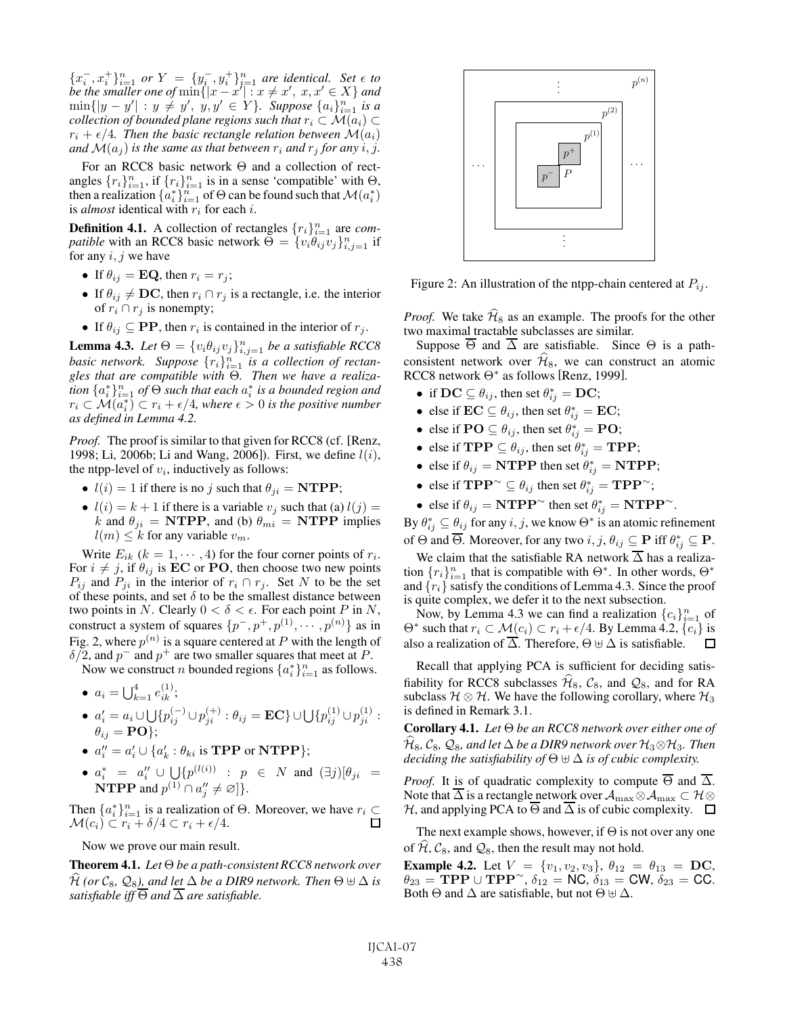${x}_{i}^{-}$ ,  $x_{i}^{+}$ } $_{i=1}^{n}$  *or*  $Y = {y}_{i}^{-}$ ,  $y_{i}^{+}$ } $_{i=1}^{n}$  *are identical. Set*  $\epsilon$  *to be the smaller one of*  $\min\{|x - x'| : x \neq x', x, x' \in X\}$  *and*  $\min\{|y - y'| : y \neq y', y, y' \in Y\}$ *. Suppose*  $\{a_i\}_{i=1}^n$  *is a collection of bounded plane regions such that*  $r_i \subset \mathcal{M}(a_i) \subset$  $r_i + \epsilon/4$ . Then the basic rectangle relation between  $\mathcal{M}(a_i)$ *and*  $\mathcal{M}(a_i)$  *is the same as that between*  $r_i$  *and*  $r_j$  *for any i*, *j*.

For an RCC8 basic network Θ and a collection of rectangles  $\{r_i\}_{i=1}^n$ , if  $\{r_i\}_{i=1}^n$  is in a sense 'compatible' with  $\Theta$ , then a realization  $\{a_i^*\}_{i=1}^n$  of  $\Theta$  can be found such that  $\mathcal{M}(a_i^*)$ is *almost* identical with  $r_i$  for each *i*.

**Definition 4.1.** A collection of rectangles  $\{r_i\}_{i=1}^n$  are *compatible* with an RCC8 basic network  $\Theta = \{v_i \theta_{ij} v_j\}_{i,j=1}^n$  if for any  $i, j$  we have

- If  $\theta_{ij} = \mathbf{EQ}$ , then  $r_i = r_j$ ;
- If  $\theta_{ij} \neq \mathbf{DC}$ , then  $r_i \cap r_j$  is a rectangle, i.e. the interior of  $r_i \cap r_j$  is nonempty;
- If  $\theta_{ij} \subseteq \textbf{PP}$ , then  $r_i$  is contained in the interior of  $r_j$ .

**Lemma 4.3.** *Let*  $\Theta = \{v_i \theta_{ij} v_j\}_{i,j=1}^n$  *be a satisfiable RCC8 basic network.* Suppose  $\{r_i\}_{i=1}^n$  is a collection of rectan*gles that are compatible with* Θ*. Then we have a realization*  $\{a_i^*\}_{i=1}^n$  *of*  $\Theta$  *such that each*  $a_i^*$  *is a bounded region and*  $r_i \subset M(a_i^*) \subset r_i + \epsilon/4$ , where  $\epsilon > 0$  *is the positive number as defined in Lemma 4.2.*

*Proof.* The proof is similar to that given for RCC8 (cf. [Renz, 1998; Li, 2006b; Li and Wang, 2006]). First, we define  $l(i)$ , the ntpp-level of  $v_i$ , inductively as follows:

- $l(i) = 1$  if there is no j such that  $\theta_{ji} = \textbf{NTPP}$ ;
- $l(i) = k + 1$  if there is a variable  $v_j$  such that (a)  $l(j) =$ k and  $\theta_{ji}$  = **NTPP**, and (b)  $\theta_{mi}$  = **NTPP** implies  $l(m) \leq k$  for any variable  $v_m$ .

Write  $E_{ik}$  ( $k = 1, \dots, 4$ ) for the four corner points of  $r_i$ . For  $i \neq j$ , if  $\theta_{ij}$  is **EC** or **PO**, then choose two new points  $P_{ij}$  and  $P_{ji}$  in the interior of  $r_i \cap r_j$ . Set N to be the set of these points, and set  $\delta$  to be the smallest distance between two points in N. Clearly  $0 < \delta < \epsilon$ . For each point P in N, construct a system of squares  $\{p^-, p^+, p^{(1)}, \cdots, p^{(n)}\}$  as in Fig. 2, where  $p^{(n)}$  is a square centered at P with the length of  $\delta/2$ , and  $p^-$  and  $p^+$  are two smaller squares that meet at P.

Now we construct *n* bounded regions  $\{a_i^*\}_{i=1}^n$  as follows.

• 
$$
a_i = \bigcup_{k=1}^4 e_{ik}^{(1)}
$$
;

• 
$$
a'_i = a_i \cup \bigcup \{p_{ij}^{(-)} \cup p_{ji}^{(+)} : \theta_{ij} = \mathbf{EC}\} \cup \bigcup \{p_{ij}^{(1)} \cup p_{ji}^{(1)} : \theta_{ij} = \mathbf{PO}\};
$$

- $a''_i = a'_i \cup \{a'_k : \theta_{ki} \text{ is TPP or NTPP}\};$
- $a_i^* = a_i'' \cup \bigcup \{p^{(l(i))} : p \in N \text{ and } (\exists j)[\theta_{ji} =$ **NTPP** and  $p^{(1)} \cap a''_j \neq \emptyset$  }.

Then  $\{a_i^*\}_{i=1}^n$  is a realization of  $\Theta$ . Moreover, we have  $r_i \subseteq$  $\mathcal{M}(c_i) \subset r_i + \delta/4 \subset r_i + \epsilon/4.$ 

## Now we prove our main result.

Theorem 4.1. *Let* Θ *be a path-consistent RCC8 network over*  $\widehat{\mathcal{H}}$  (or  $\mathcal{C}_8$ ,  $\mathcal{Q}_8$ ), and let  $\Delta$  be a DIR9 network. Then  $\Theta \uplus \Delta$  is *satisfiable iff*  $\overline{\Theta}$  *and*  $\overline{\Delta}$  *are satisfiable.* 



Figure 2: An illustration of the ntpp-chain centered at  $P_{ij}$ .

*Proof.* We take  $H_8$  as an example. The proofs for the other two maximal tractable subclasses are similar.

Suppose  $\overline{\Theta}$  and  $\overline{\Delta}$  are satisfiable. Since  $\Theta$  is a pathconsistent network over  $\mathcal{H}_8$ , we can construct an atomic RCC8 network Θ<sup>∗</sup> as follows [Renz, 1999].

- if  $DC \subseteq \theta_{ij}$ , then set  $\theta_{ij}^* = DC$ ;
- else if  $\mathbf{EC} \subseteq \theta_{ij}$ , then set  $\theta_{ij}^* = \mathbf{EC}$ ;
- else if  $\mathbf{PO} \subseteq \theta_{ij}$ , then set  $\theta_{ij}^* = \mathbf{PO}$ ;
- else if **TPP**  $\subseteq$   $\theta_{ij}$ , then set  $\theta_{ij}^* =$  **TPP**;
- else if  $\theta_{ij} = \textbf{NTPP}$  then set  $\hat{\theta}_{ij}^* = \textbf{NTPP}$ ;
- else if  $\mathbf{TPP}^{\sim} \subseteq \theta_{ij}$  then set  $\theta_{ij}^* = \mathbf{TPP}^{\sim}$ ;
- else if  $\theta_{ij} = \textbf{NTPP}^{\sim}$  then set  $\theta_{ij}^* = \textbf{NTPP}^{\sim}$ .

By  $\theta_{ij}^* \subseteq \theta_{ij}$  for any  $i, j$ , we know  $\Theta^*$  is an atomic refinement of  $\Theta$  and  $\overline{\Theta}$ . Moreover, for any two  $i, j, \theta_{ij} \subseteq \mathbf{P}$  iff  $\theta_{ij}^* \subseteq \mathbf{P}$ .

We claim that the satisfiable RA network  $\overline{\Delta}$  has a realization  $\{r_i\}_{i=1}^n$  that is compatible with  $\Theta^*$ . In other words,  $\Theta^*$ and  $\{r_i\}$  satisfy the conditions of Lemma 4.3. Since the proof is quite complex, we defer it to the next subsection.

Now, by Lemma 4.3 we can find a realization  ${c_i}_{i=1}^n$  of  $\Theta^*$  such that  $r_i \subset \mathcal{M}(c_i) \subset r_i + \epsilon/4$ . By Lemma 4.2,  $\{c_i\}$  is also a realization of  $\overline{\Delta}$ . Therefore,  $\Theta \uplus \Delta$  is satisfiable.  $\Box$ 

Recall that applying PCA is sufficient for deciding satisfiability for RCC8 subclasses  $\mathcal{H}_8$ ,  $\mathcal{C}_8$ , and  $\mathcal{Q}_8$ , and for RA subclass  $H \otimes H$ . We have the following corollary, where  $H_3$ is defined in Remark 3.1.

Corollary 4.1. *Let* Θ *be an RCC8 network over either one of*  $\widehat{\mathcal{H}}_8$ ,  $\mathcal{C}_8$ ,  $\mathcal{Q}_8$ , and let  $\Delta$  be a DIR9 network over  $\mathcal{H}_3 \otimes \mathcal{H}_3$ . Then *deciding the satisfiability of*  $\Theta \oplus \Delta$  *is of cubic complexity.* 

*Proof.* It is of quadratic complexity to compute  $\overline{\Theta}$  and  $\overline{\Delta}$ . Note that  $\overline{\Delta}$  is a rectangle network over  $\mathcal{A}_{\max}\otimes \mathcal{A}_{\max}\subset \mathcal{H}\otimes \mathcal{A}$ H, and applying PCA to  $\overline{\Theta}$  and  $\overline{\Delta}$  is of cubic complexity.  $\Box$ 

The next example shows, however, if  $\Theta$  is not over any one of  $H, C_8$ , and  $Q_8$ , then the result may not hold.

**Example 4.2.** Let  $V = \{v_1, v_2, v_3\}$ ,  $\theta_{12} = \theta_{13} = \mathbf{DC}$ ,  $\theta_{23}$  = **TPP** ∪ **TPP**<sup>∼</sup>,  $\delta_{12}$  = **NC**,  $\delta_{13}$  = **CW**,  $\delta_{23}$  = **CC**. Both  $\Theta$  and  $\Delta$  are satisfiable, but not  $\Theta \uplus \Delta$ .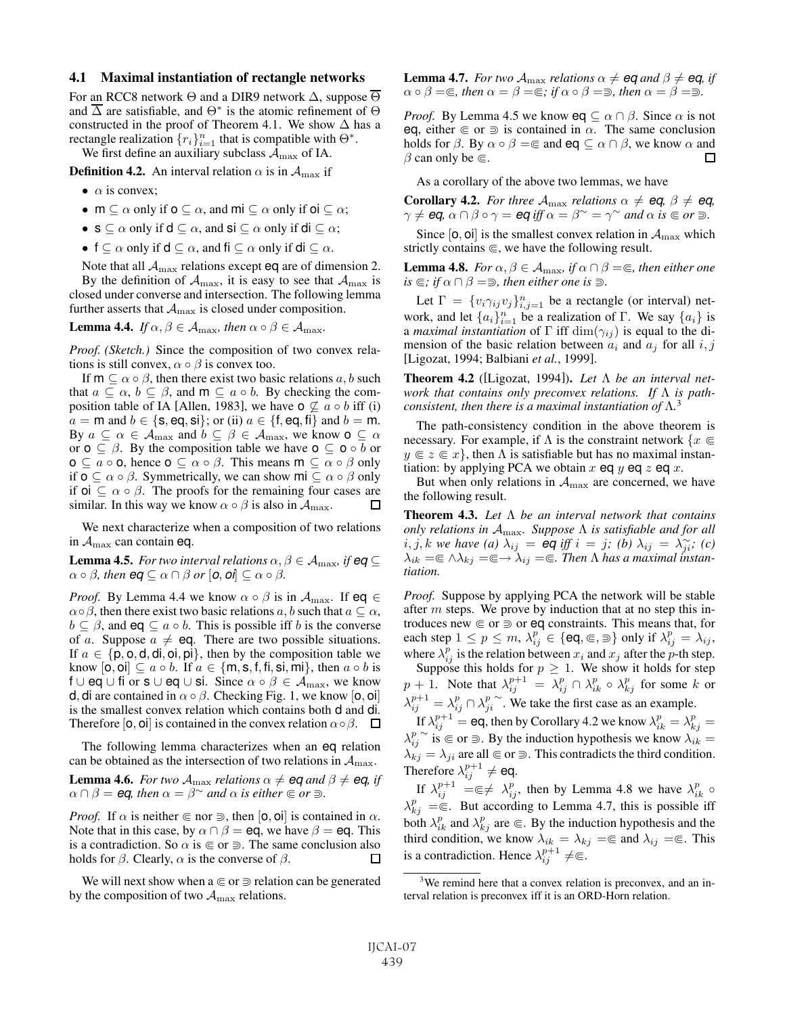#### 4.1 Maximal instantiation of rectangle networks

For an RCC8 network  $\Theta$  and a DIR9 network  $\Delta$ , suppose  $\overline{\Theta}$ and  $\overline{\Delta}$  are satisfiable, and  $\Theta^*$  is the atomic refinement of  $\Theta$ constructed in the proof of Theorem 4.1. We show  $\Delta$  has a rectangle realization  $\{r_i\}_{i=1}^n$  that is compatible with  $\Theta^*$ .

We first define an auxiliary subclass  $A_{\text{max}}$  of IA.

**Definition 4.2.** An interval relation  $\alpha$  is in  $\mathcal{A}_{\text{max}}$  if

- $\alpha$  is convex;
- $m \subseteq \alpha$  only if  $o \subseteq \alpha$ , and  $mi \subseteq \alpha$  only if  $oi \subseteq \alpha$ ;
- $s \subseteq \alpha$  only if  $d \subseteq \alpha$ , and  $si \subseteq \alpha$  only if  $di \subseteq \alpha$ ;
- f  $\subseteq \alpha$  only if  $d \subseteq \alpha$ , and fi  $\subseteq \alpha$  only if di  $\subseteq \alpha$ .

Note that all  $A_{\text{max}}$  relations except eq are of dimension 2. By the definition of  $A_{\text{max}}$ , it is easy to see that  $A_{\text{max}}$  is closed under converse and intersection. The following lemma

further asserts that  $A_{\text{max}}$  is closed under composition.

**Lemma 4.4.** *If*  $\alpha, \beta \in A_{\text{max}}$ *, then*  $\alpha \circ \beta \in A_{\text{max}}$ *.* 

*Proof. (Sketch.)* Since the composition of two convex relations is still convex,  $\alpha \circ \beta$  is convex too.

If  $m \subseteq \alpha \circ \beta$ , then there exist two basic relations  $a, b$  such that  $a \subseteq \alpha$ ,  $b \subseteq \beta$ , and  $m \subseteq a \circ b$ . By checking the composition table of IA [Allen, 1983], we have  $\sigma \nsubseteq a \circ b$  iff (i)  $a = m$  and  $b \in \{s, eq, si\}$ ; or (ii)  $a \in \{f, eq, fi\}$  and  $b = m$ . By  $a \subseteq \alpha \in \mathcal{A}_{\max}$  and  $b \subseteq \beta \in \mathcal{A}_{\max}$ , we know  $\mathsf{o} \subseteq \alpha$ or  $\mathbf{o} \subseteq \beta$ . By the composition table we have  $\mathbf{o} \subseteq \mathbf{o} \circ b$  or  $\mathsf{o} \subseteq a \circ \mathsf{o}$ , hence  $\mathsf{o} \subseteq \alpha \circ \beta$ . This means  $\mathsf{m} \subseteq \alpha \circ \beta$  only if  $\mathbf{o} \subseteq \alpha \circ \beta$ . Symmetrically, we can show  $\mathbf{m} \subseteq \alpha \circ \beta$  only if  $oi \subseteq \alpha \circ \beta$ . The proofs for the remaining four cases are similar. In this way we know  $\alpha \circ \beta$  is also in  $\mathcal{A}_{\text{max}}$ .  $\Box$ 

We next characterize when a composition of two relations in  $A_{\text{max}}$  can contain eq.

**Lemma 4.5.** *For two interval relations*  $\alpha, \beta \in A_{\text{max}}$ *, if*  $eq \subseteq$  $\alpha \circ \beta$ *, then*  $eq \subseteq \alpha \cap \beta$  or  $[0, 0] \subseteq \alpha \circ \beta$ *.* 

*Proof.* By Lemma 4.4 we know  $\alpha \circ \beta$  is in  $\mathcal{A}_{\text{max}}$ . If eq  $\in$  $\alpha \circ \beta$ , then there exist two basic relations a, b such that  $a \subseteq \alpha$ ,  $b \subseteq \beta$ , and eq  $\subseteq a \circ b$ . This is possible iff b is the converse of a. Suppose  $a \neq eq$ . There are two possible situations. If  $a \in \{p, o, d, di,oi, pi\}$ , then by the composition table we know  $[\mathbf{0}, \mathbf{0}] \subseteq a \circ b$ . If  $a \in \{\mathsf{m}, \mathsf{s}, \mathsf{f}, \mathsf{fi}, \mathsf{si}, \mathsf{mi}\},\$  then  $a \circ b$  is f ∪ eq ∪ fi or s ∪ eq ∪ si. Since  $\alpha \circ \beta \in \mathcal{A}_{\text{max}}$ , we know d, di are contained in  $\alpha \circ \beta$ . Checking Fig. 1, we know [0, 0] is the smallest convex relation which contains both d and di. Therefore [**o**, **oi**] is contained in the convex relation  $\alpha \circ \beta$ .  $\Box$ 

The following lemma characterizes when an eq relation can be obtained as the intersection of two relations in  $A_{\text{max}}$ .

**Lemma 4.6.** *For two*  $A_{\text{max}}$  *relations*  $\alpha \neq \text{eq}$  *and*  $\beta \neq \text{eq}$ *, if*  $\alpha \cap \beta = \text{eq}$ , then  $\alpha = \beta^{\sim}$  and  $\alpha$  is either  $\in \text{or } \exists$ .

*Proof.* If  $\alpha$  is neither  $\epsilon$  nor  $\Rightarrow$ , then  $[0, 0]$  is contained in  $\alpha$ . Note that in this case, by  $\alpha \cap \beta =$ eq, we have  $\beta =$ eq. This is a contradiction. So  $\alpha$  is  $\in$  or  $\supseteq$ . The same conclusion also holds for  $\beta$ . Clearly,  $\alpha$  is the converse of  $\beta$ . □

We will next show when  $a \in \sigma$   $\supseteq$  relation can be generated by the composition of two  $A_{\text{max}}$  relations.

**Lemma 4.7.** *For two*  $A_{\text{max}}$  *relations*  $\alpha \neq \text{eq}$  *and*  $\beta \neq \text{eq}$ *, if*  $\alpha \circ \beta = \epsilon$ , then  $\alpha = \beta = \epsilon$ ; if  $\alpha \circ \beta = \epsilon$ , then  $\alpha = \beta = \epsilon$ .

*Proof.* By Lemma 4.5 we know  $eq \subseteq \alpha \cap \beta$ . Since  $\alpha$  is not eq, either  $\in \sigma$  is contained in  $\alpha$ . The same conclusion holds for  $\beta$ . By  $\alpha \circ \beta = \epsilon$  and eq  $\subseteq \alpha \cap \beta$ , we know  $\alpha$  and  $\beta$  can only be  $\in$ . □

As a corollary of the above two lemmas, we have

**Corollary 4.2.** *For three*  $A_{\text{max}}$  *relations*  $\alpha \neq eq$ *,*  $\beta \neq eq$ *,*  $\gamma \neq$  *eq*,  $\alpha \cap \beta \circ \gamma =$  *eq iff*  $\alpha = \beta^{\sim} = \gamma^{\sim}$  *and*  $\alpha$  *is*  $\in$  *or*  $\supseteq$ *.* 

Since  $[0, 0]$  is the smallest convex relation in  $A_{\text{max}}$  which strictly contains  $\in$ , we have the following result.

**Lemma 4.8.** *For*  $\alpha, \beta \in A_{\text{max}}$ *, if*  $\alpha \cap \beta = \epsilon$ *, then either one*  $is \in ; if \alpha \cap \beta = \exists$ , then either one is  $\exists$ .

Let  $\Gamma = \{v_i \gamma_{ij} v_j\}_{i,j=1}^n$  be a rectangle (or interval) network, and let  $\{a_i\}_{i=1}^n$  be a realization of  $\Gamma$ . We say  $\{a_i\}$  is a *maximal instantiation* of  $\Gamma$  iff  $\dim(\gamma_{ij})$  is equal to the dimension of the basic relation between  $a_i$  and  $a_j$  for all  $i, j$ [Ligozat, 1994; Balbiani *et al.*, 1999].

Theorem 4.2 ([Ligozat, 1994]). *Let* Λ *be an interval network that contains only preconvex relations. If* Λ *is pathconsistent, then there is a maximal instantiation of* Λ*.* 3

The path-consistency condition in the above theorem is necessary. For example, if  $\Lambda$  is the constraint network  $\{x \in$  $y \in z \in x$ , then  $\Lambda$  is satisfiable but has no maximal instantiation: by applying PCA we obtain x eq y eq z eq x.

But when only relations in  $A_{\text{max}}$  are concerned, we have the following result.

Theorem 4.3. *Let* Λ *be an interval network that contains only relations in* Amax*. Suppose* Λ *is satisfiable and for all*  $i, j, k$  *we have (a)*  $\lambda_{ij} = \frac{1}{2}$  eq *iff*  $i = j$ ; (b)  $\lambda_{ij} = \lambda_{ji}^{\infty}$ ; (c)  $\lambda_{ik} = \epsilon \wedge \lambda_{kj} = \epsilon \rightarrow \lambda_{ij} = \epsilon$ . Then  $\Lambda$  has a maximal instan*tiation.*

*Proof.* Suppose by applying PCA the network will be stable after  $m$  steps. We prove by induction that at no step this introduces new  $\in$  or  $\supseteq$  or eq constraints. This means that, for each step  $1 \le p \le m$ ,  $\lambda_{ij}^p \in {\text{eq}, \in, \exists}$  only if  $\lambda_{ij}^p = \lambda_{ij}$ , where  $\lambda_{ij}^p$  is the relation between  $x_i$  and  $x_j$  after the p-th step.

Suppose this holds for  $p \geq 1$ . We show it holds for step  $p + 1$ . Note that  $\lambda_{ij}^{p+1} = \lambda_{ij}^p \cap \lambda_{ik}^p \circ \lambda_{kj}^p$  for some k or  $\lambda_{ij}^{p+1} = \lambda_{ij}^p \cap \lambda_{ji}^p$ . We take the first case as an example.

If  $\lambda_{ij}^{p+1} =$  eq, then by Corollary 4.2 we know  $\lambda_{ik}^p = \lambda_{kj}^p =$  $\lambda_{ij}^p \text{ is on } \exists$ . By the induction hypothesis we know  $\lambda_{ik} =$  $\lambda_{kj} = \lambda_{ji}$  are all  $\in$  or  $\supseteq$ . This contradicts the third condition. Therefore  $\lambda_{ij}^{p+1} \neq$  eq.

If  $\lambda_{ij}^{p+1} = \in \neq \lambda_{ij}^p$ , then by Lemma 4.8 we have  $\lambda_{ik}^p \circ$  $\lambda_{kj}^p = \in$ . But according to Lemma 4.7, this is possible iff both  $\lambda_{ik}^p$  and  $\lambda_{kj}^p$  are  $\in$ . By the induction hypothesis and the third condition, we know  $\lambda_{ik} = \lambda_{kj} = \epsilon$  and  $\lambda_{ij} = \epsilon$ . This is a contradiction. Hence  $\lambda_{ij}^{p+1} \neq \in$ .

<sup>&</sup>lt;sup>3</sup>We remind here that a convex relation is preconvex, and an interval relation is preconvex iff it is an ORD-Horn relation.